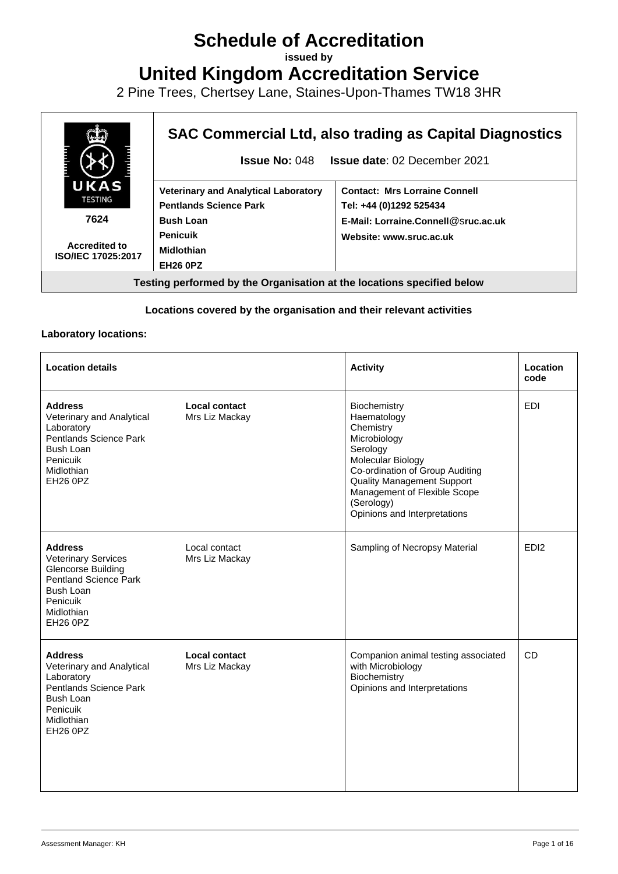# **Schedule of Accreditation**

**issued by**

**United Kingdom Accreditation Service**

2 Pine Trees, Chertsey Lane, Staines-Upon-Thames TW18 3HR



#### **Locations covered by the organisation and their relevant activities**

#### **Laboratory locations:**

| <b>Location details</b>                                                                                                                               |                                 | <b>Activity</b>                                                                                                                                                                                                                                 | Location<br>code |
|-------------------------------------------------------------------------------------------------------------------------------------------------------|---------------------------------|-------------------------------------------------------------------------------------------------------------------------------------------------------------------------------------------------------------------------------------------------|------------------|
| <b>Address</b><br>Veterinary and Analytical<br>Laboratory<br>Pentlands Science Park<br>Bush Loan<br>Penicuik<br>Midlothian<br><b>EH26 0PZ</b>         | Local contact<br>Mrs Liz Mackay | Biochemistry<br>Haematology<br>Chemistry<br>Microbiology<br>Serology<br>Molecular Biology<br>Co-ordination of Group Auditing<br><b>Quality Management Support</b><br>Management of Flexible Scope<br>(Serology)<br>Opinions and Interpretations | EDI              |
| <b>Address</b><br><b>Veterinary Services</b><br>Glencorse Building<br><b>Pentland Science Park</b><br>Bush Loan<br>Penicuik<br>Midlothian<br>EH26 0PZ | Local contact<br>Mrs Liz Mackay | Sampling of Necropsy Material                                                                                                                                                                                                                   | ED <sub>12</sub> |
| <b>Address</b><br>Veterinary and Analytical<br>Laboratory<br>Pentlands Science Park<br><b>Bush Loan</b><br>Penicuik<br>Midlothian<br><b>EH26 0PZ</b>  | Local contact<br>Mrs Liz Mackay | Companion animal testing associated<br>with Microbiology<br>Biochemistry<br>Opinions and Interpretations                                                                                                                                        | <b>CD</b>        |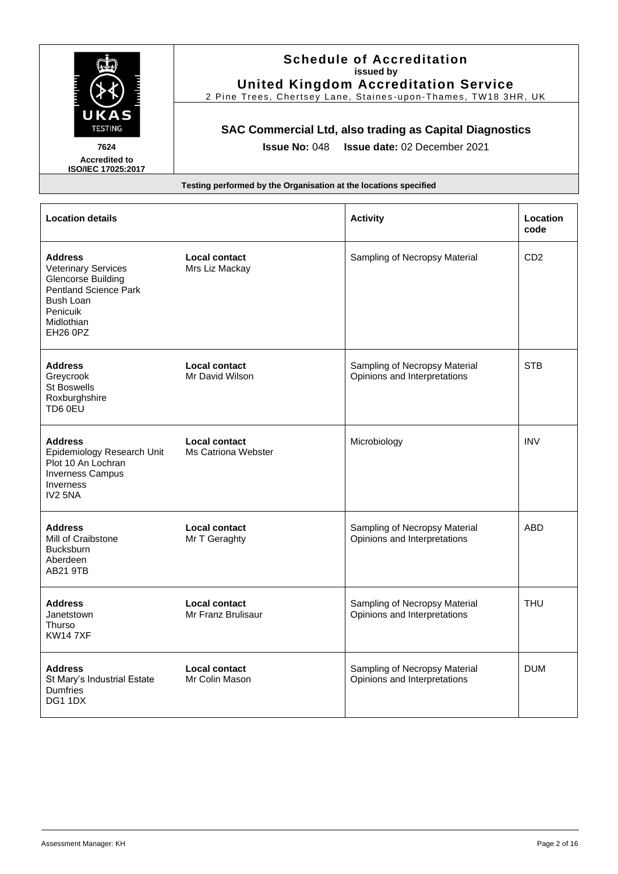

#### **Schedule of Accreditation issued by United Kingdom Accreditation Service**

2 Pine Trees, Chertsey Lane, Staines -upon -Thames, TW18 3HR, UK

### **SAC Commercial Ltd, also trading as Capital Diagnostics**

**Issue No:** 048 **Issue date:** 02 December 2021

| <b>Location details</b>                                                                                                                                      |                                             | <b>Activity</b>                                               | Location<br>code |
|--------------------------------------------------------------------------------------------------------------------------------------------------------------|---------------------------------------------|---------------------------------------------------------------|------------------|
| <b>Address</b><br><b>Veterinary Services</b><br><b>Glencorse Building</b><br>Pentland Science Park<br>Bush Loan<br>Penicuik<br>Midlothian<br><b>EH26 0PZ</b> | <b>Local contact</b><br>Mrs Liz Mackay      | Sampling of Necropsy Material                                 | CD <sub>2</sub>  |
| <b>Address</b><br>Greycrook<br>St Boswells<br>Roxburghshire<br>TD6 0EU                                                                                       | <b>Local contact</b><br>Mr David Wilson     | Sampling of Necropsy Material<br>Opinions and Interpretations | <b>STB</b>       |
| <b>Address</b><br>Epidemiology Research Unit<br>Plot 10 An Lochran<br><b>Inverness Campus</b><br><b>Inverness</b><br>IV <sub>2</sub> 5NA                     | Local contact<br><b>Ms Catriona Webster</b> | Microbiology                                                  | <b>INV</b>       |
| <b>Address</b><br>Mill of Craibstone<br><b>Bucksburn</b><br>Aberdeen<br><b>AB21 9TB</b>                                                                      | <b>Local contact</b><br>Mr T Geraghty       | Sampling of Necropsy Material<br>Opinions and Interpretations | <b>ABD</b>       |
| <b>Address</b><br>Janetstown<br>Thurso<br><b>KW147XF</b>                                                                                                     | Local contact<br>Mr Franz Brulisaur         | Sampling of Necropsy Material<br>Opinions and Interpretations | <b>THU</b>       |
| <b>Address</b><br>St Mary's Industrial Estate<br><b>Dumfries</b><br><b>DG1 1DX</b>                                                                           | <b>Local contact</b><br>Mr Colin Mason      | Sampling of Necropsy Material<br>Opinions and Interpretations | <b>DUM</b>       |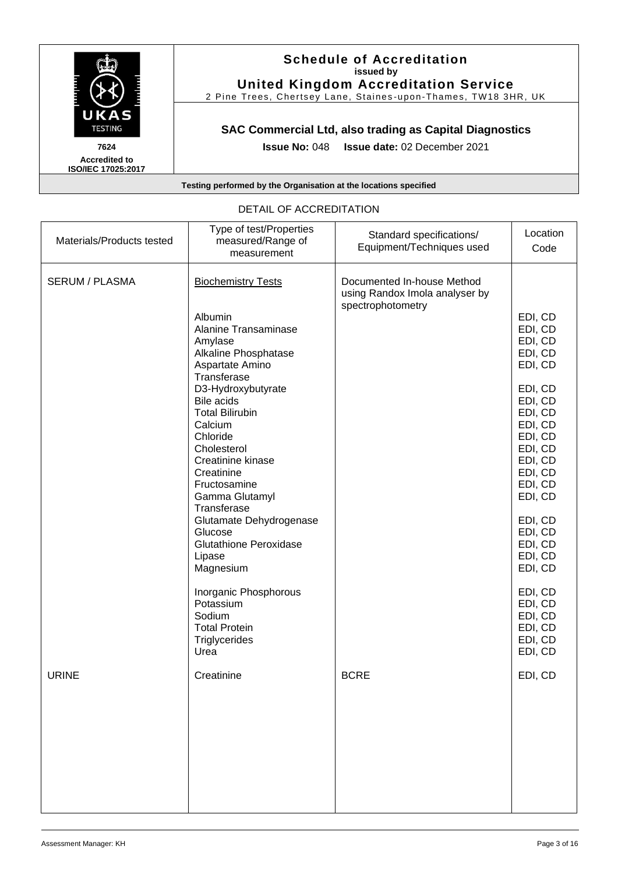

#### **Schedule of Accreditation issued by United Kingdom Accreditation Service**

2 Pine Trees, Chertsey Lane, Staines -upon -Thames, TW18 3HR, UK

# **SAC Commercial Ltd, also trading as Capital Diagnostics**

**Issue No:** 048 **Issue date:** 02 December 2021

**Testing performed by the Organisation at the locations specified**

#### Materials/Products tested Type of test/Properties measured/Range of measurement Standard specifications/ Equipment/Techniques used Location Code SERUM / PLASMA Biochemistry Tests Documented In-house Method using Randox Imola analyser by spectrophotometry Albumin Research Contract Contract Contract Contract Contract Contract Contract Contract Contract Contract Contract Contract Contract Contract Contract Contract Contract Contract Contract Contract Contract Contract Contrac Alanine Transaminase The EDI, CD EDI, CD Amylase and the contract of the contract of the contract of the contract of the contract of the contract of the contract of the contract of the contract of the contract of the contract of the contract of the contract of th Alkaline Phosphatase **EDI, CD** Aspartate Amino **Transferase** EDI, CD D3-Hydroxybutyrate and the extension of the EDI, CD Bile acids **EDI, CD** Total Bilirubin **EDI, CD** Calcium and the contract of the contract of the contract of the contract of the contract of the contract of the contract of the contract of the contract of the contract of the contract of the contract of the contract of th Chloride EDI, CD Cholesterol EDI, CD Creatinine kinase **EDI, CD**<br>Creatinine **EDI, CD** Creatinine EDI, CD<br>
EDI, CD<br>
EDI. CD<br>
EDI. CD Fructosamine Gamma Glutamyl **Transferase** EDI, CD Glutamate Dehydrogenase | EDI, CD Glucose Reserves and the EDI, CD is a set of the EDI, CD is a set of the EDI, CD is a set of the EDI, CD Glutathione Peroxidase  $\vert$  eDI, CD Lipase EDI, CD Magnesium and the state of the state of the state of the state of the state of the state of the state of the state of the state of the state of the state of the state of the state of the state of the state of the state of Inorganic Phosphorous **EDI, CD** Potassium and the contract of the contract of the contract of the contract of the contract of the contract of the contract of the contract of the contract of the contract of the contract of the contract of the contract of Sodium in the set of the set of the set of the set of the set of the set of the set of the set of the set of the set of the set of the set of the set of the set of the set of the set of the set of the set of the set of the Total Protein **EDI, CD** Triglycerides **EDI, CD** Urea EDI, CD URINE REGISTER REGISTER REGISTER REGISTER REGISTER BOOK BOOK BOOK BEDI, CD

# DETAIL OF ACCREDITATION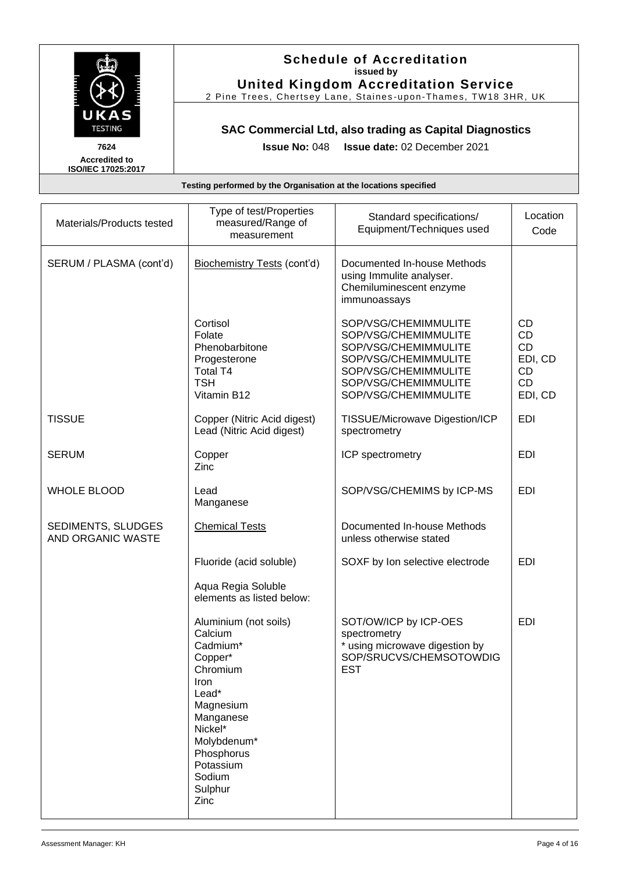

#### **Schedule of Accreditation issued by United Kingdom Accreditation Service**

2 Pine Trees, Chertsey Lane, Staines -upon -Thames, TW18 3HR, UK

# **SAC Commercial Ltd, also trading as Capital Diagnostics**

**Issue No:** 048 **Issue date:** 02 December 2021

| Materials/Products tested               | Type of test/Properties<br>measured/Range of<br>measurement                                                                                                                                             | Standard specifications/<br>Equipment/Techniques used                                                                                                                | Location<br>Code                                                             |
|-----------------------------------------|---------------------------------------------------------------------------------------------------------------------------------------------------------------------------------------------------------|----------------------------------------------------------------------------------------------------------------------------------------------------------------------|------------------------------------------------------------------------------|
| SERUM / PLASMA (cont'd)                 | Biochemistry Tests (cont'd)                                                                                                                                                                             | Documented In-house Methods<br>using Immulite analyser.<br>Chemiluminescent enzyme<br>immunoassays                                                                   |                                                                              |
|                                         | Cortisol<br>Folate<br>Phenobarbitone<br>Progesterone<br>Total T4<br><b>TSH</b><br>Vitamin B12                                                                                                           | SOP/VSG/CHEMIMMULITE<br>SOP/VSG/CHEMIMMULITE<br>SOP/VSG/CHEMIMMULITE<br>SOP/VSG/CHEMIMMULITE<br>SOP/VSG/CHEMIMMULITE<br>SOP/VSG/CHEMIMMULITE<br>SOP/VSG/CHEMIMMULITE | <b>CD</b><br><b>CD</b><br><b>CD</b><br>EDI, CD<br>CD<br><b>CD</b><br>EDI, CD |
| <b>TISSUE</b>                           | Copper (Nitric Acid digest)<br>Lead (Nitric Acid digest)                                                                                                                                                | TISSUE/Microwave Digestion/ICP<br>spectrometry                                                                                                                       | <b>EDI</b>                                                                   |
| <b>SERUM</b>                            | Copper<br>Zinc                                                                                                                                                                                          | ICP spectrometry                                                                                                                                                     | <b>EDI</b>                                                                   |
| <b>WHOLE BLOOD</b>                      | Lead<br>Manganese                                                                                                                                                                                       | SOP/VSG/CHEMIMS by ICP-MS                                                                                                                                            | <b>EDI</b>                                                                   |
| SEDIMENTS, SLUDGES<br>AND ORGANIC WASTE | <b>Chemical Tests</b>                                                                                                                                                                                   | Documented In-house Methods<br>unless otherwise stated                                                                                                               |                                                                              |
|                                         | Fluoride (acid soluble)<br>Aqua Regia Soluble<br>elements as listed below:                                                                                                                              | SOXF by Ion selective electrode                                                                                                                                      | <b>EDI</b>                                                                   |
|                                         | Aluminium (not soils)<br>Calcium<br>Cadmium*<br>Copper*<br>Chromium<br><b>Iron</b><br>Lead*<br>Magnesium<br>Manganese<br>Nickel*<br>Molybdenum*<br>Phosphorus<br>Potassium<br>Sodium<br>Sulphur<br>Zinc | SOT/OW/ICP by ICP-OES<br>spectrometry<br>* using microwave digestion by<br>SOP/SRUCVS/CHEMSOTOWDIG<br><b>EST</b>                                                     | <b>EDI</b>                                                                   |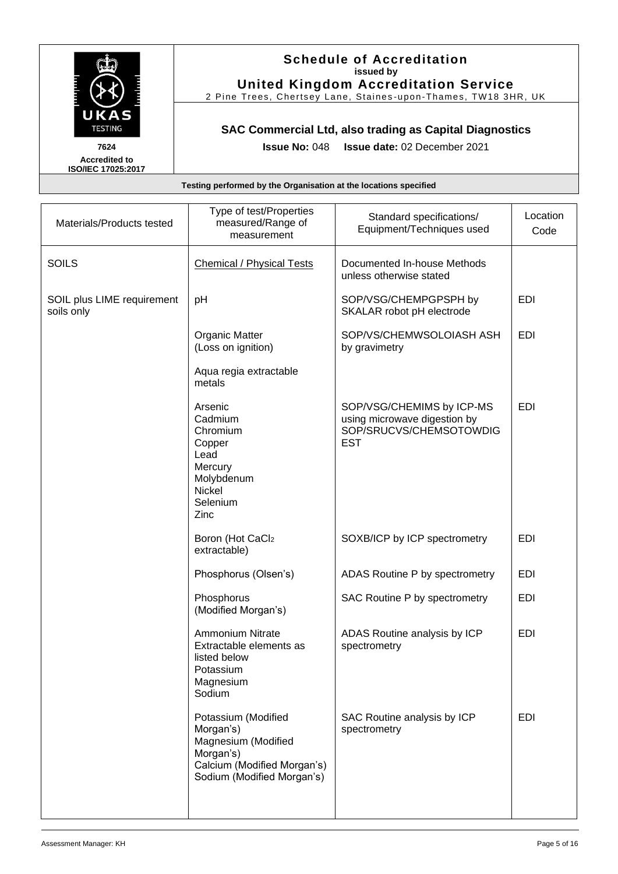

#### **Schedule of Accreditation issued by United Kingdom Accreditation Service**

2 Pine Trees, Chertsey Lane, Staines -upon -Thames, TW18 3HR, UK

# **SAC Commercial Ltd, also trading as Capital Diagnostics**

**Issue No:** 048 **Issue date:** 02 December 2021

| Materials/Products tested                | Type of test/Properties<br>measured/Range of<br>measurement                                                                       | Standard specifications/<br>Equipment/Techniques used                                              | Location<br>Code |
|------------------------------------------|-----------------------------------------------------------------------------------------------------------------------------------|----------------------------------------------------------------------------------------------------|------------------|
| <b>SOILS</b>                             | <b>Chemical / Physical Tests</b>                                                                                                  | Documented In-house Methods<br>unless otherwise stated                                             |                  |
| SOIL plus LIME requirement<br>soils only | pH                                                                                                                                | SOP/VSG/CHEMPGPSPH by<br>SKALAR robot pH electrode                                                 | <b>EDI</b>       |
|                                          | <b>Organic Matter</b><br>(Loss on ignition)                                                                                       | SOP/VS/CHEMWSOLOIASH ASH<br>by gravimetry                                                          | <b>EDI</b>       |
|                                          | Aqua regia extractable<br>metals                                                                                                  |                                                                                                    |                  |
|                                          | Arsenic<br>Cadmium<br>Chromium<br>Copper<br>Lead<br>Mercury<br>Molybdenum<br>Nickel<br>Selenium<br>Zinc                           | SOP/VSG/CHEMIMS by ICP-MS<br>using microwave digestion by<br>SOP/SRUCVS/CHEMSOTOWDIG<br><b>EST</b> | <b>EDI</b>       |
|                                          | Boron (Hot CaCl2<br>extractable)                                                                                                  | SOXB/ICP by ICP spectrometry                                                                       | <b>EDI</b>       |
|                                          | Phosphorus (Olsen's)                                                                                                              | ADAS Routine P by spectrometry                                                                     | <b>EDI</b>       |
|                                          | Phosphorus<br>(Modified Morgan's)                                                                                                 | SAC Routine P by spectrometry                                                                      | <b>EDI</b>       |
|                                          | <b>Ammonium Nitrate</b><br>Extractable elements as<br>listed below<br>Potassium<br>Magnesium<br>Sodium                            | ADAS Routine analysis by ICP<br>spectrometry                                                       | <b>EDI</b>       |
|                                          | Potassium (Modified<br>Morgan's)<br>Magnesium (Modified<br>Morgan's)<br>Calcium (Modified Morgan's)<br>Sodium (Modified Morgan's) | SAC Routine analysis by ICP<br>spectrometry                                                        | <b>EDI</b>       |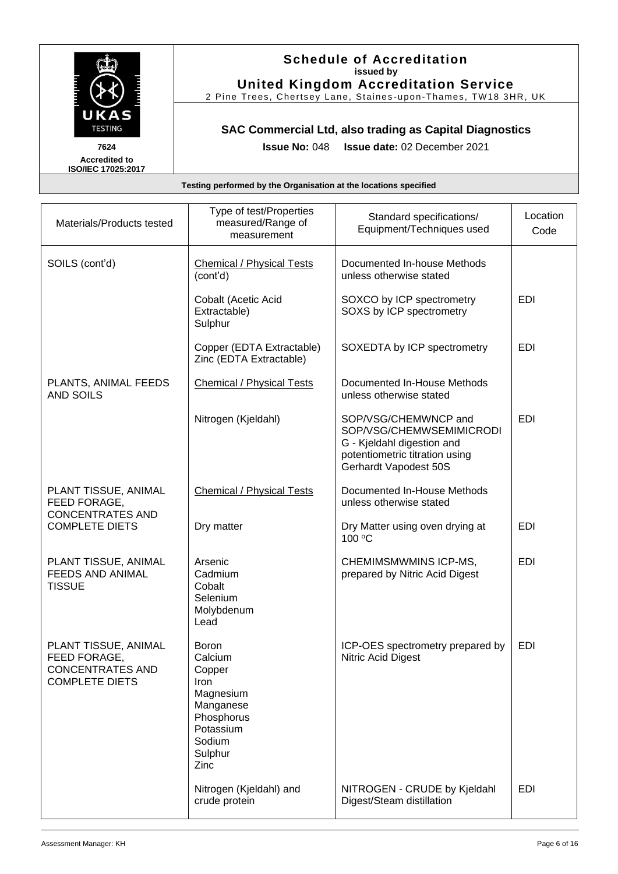

#### **Schedule of Accreditation issued by United Kingdom Accreditation Service**

2 Pine Trees, Chertsey Lane, Staines -upon -Thames, TW18 3HR, UK

# **SAC Commercial Ltd, also trading as Capital Diagnostics**

**Issue No:** 048 **Issue date:** 02 December 2021

| Materials/Products tested                                                                | Type of test/Properties<br>measured/Range of<br>measurement                                                                 | Standard specifications/<br>Equipment/Techniques used                                                                                     | Location<br>Code |
|------------------------------------------------------------------------------------------|-----------------------------------------------------------------------------------------------------------------------------|-------------------------------------------------------------------------------------------------------------------------------------------|------------------|
| SOILS (cont'd)                                                                           | <b>Chemical / Physical Tests</b><br>(cont'd)                                                                                | Documented In-house Methods<br>unless otherwise stated                                                                                    |                  |
|                                                                                          | Cobalt (Acetic Acid<br>Extractable)<br>Sulphur                                                                              | SOXCO by ICP spectrometry<br>SOXS by ICP spectrometry                                                                                     | <b>EDI</b>       |
|                                                                                          | Copper (EDTA Extractable)<br>Zinc (EDTA Extractable)                                                                        | SOXEDTA by ICP spectrometry                                                                                                               | <b>EDI</b>       |
| PLANTS, ANIMAL FEEDS<br><b>AND SOILS</b>                                                 | <b>Chemical / Physical Tests</b>                                                                                            | Documented In-House Methods<br>unless otherwise stated                                                                                    |                  |
|                                                                                          | Nitrogen (Kjeldahl)                                                                                                         | SOP/VSG/CHEMWNCP and<br>SOP/VSG/CHEMWSEMIMICRODI<br>G - Kjeldahl digestion and<br>potentiometric titration using<br>Gerhardt Vapodest 50S | <b>EDI</b>       |
| PLANT TISSUE, ANIMAL<br>FEED FORAGE,<br><b>CONCENTRATES AND</b>                          | <b>Chemical / Physical Tests</b>                                                                                            | Documented In-House Methods<br>unless otherwise stated                                                                                    |                  |
| <b>COMPLETE DIETS</b>                                                                    | Dry matter                                                                                                                  | Dry Matter using oven drying at<br>100 °C                                                                                                 | <b>EDI</b>       |
| PLANT TISSUE, ANIMAL<br><b>FEEDS AND ANIMAL</b><br><b>TISSUE</b>                         | Arsenic<br>Cadmium<br>Cobalt<br>Selenium<br>Molybdenum<br>Lead                                                              | CHEMIMSMWMINS ICP-MS,<br>prepared by Nitric Acid Digest                                                                                   | <b>EDI</b>       |
| PLANT TISSUE, ANIMAL<br>FEED FORAGE,<br><b>CONCENTRATES AND</b><br><b>COMPLETE DIETS</b> | <b>Boron</b><br>Calcium<br>Copper<br>Iron<br>Magnesium<br>Manganese<br>Phosphorus<br>Potassium<br>Sodium<br>Sulphur<br>Zinc | ICP-OES spectrometry prepared by<br>Nitric Acid Digest                                                                                    | <b>EDI</b>       |
|                                                                                          | Nitrogen (Kjeldahl) and<br>crude protein                                                                                    | NITROGEN - CRUDE by Kjeldahl<br>Digest/Steam distillation                                                                                 | <b>EDI</b>       |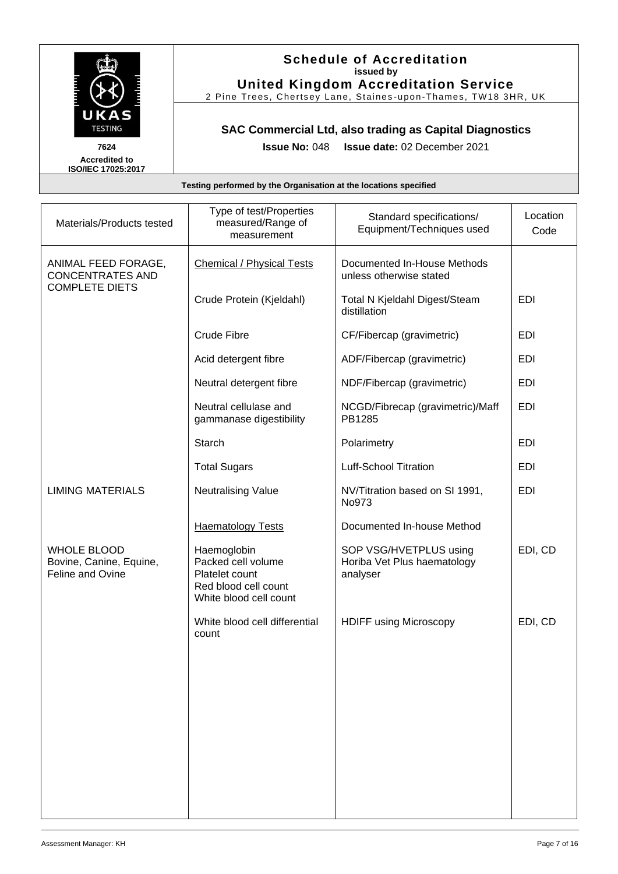

#### **Schedule of Accreditation issued by United Kingdom Accreditation Service**

2 Pine Trees, Chertsey Lane, Staines -upon -Thames, TW18 3HR, UK

# **SAC Commercial Ltd, also trading as Capital Diagnostics**

**Issue No:** 048 **Issue date:** 02 December 2021

| Materials/Products tested                                               | Type of test/Properties<br>measured/Range of<br>measurement                                           | Standard specifications/<br>Equipment/Techniques used             | Location<br>Code |
|-------------------------------------------------------------------------|-------------------------------------------------------------------------------------------------------|-------------------------------------------------------------------|------------------|
| ANIMAL FEED FORAGE,<br><b>CONCENTRATES AND</b><br><b>COMPLETE DIETS</b> | <b>Chemical / Physical Tests</b>                                                                      | Documented In-House Methods<br>unless otherwise stated            |                  |
|                                                                         | Crude Protein (Kjeldahl)                                                                              | Total N Kjeldahl Digest/Steam<br>distillation                     | <b>EDI</b>       |
|                                                                         | Crude Fibre                                                                                           | CF/Fibercap (gravimetric)                                         | <b>EDI</b>       |
|                                                                         | Acid detergent fibre                                                                                  | ADF/Fibercap (gravimetric)                                        | <b>EDI</b>       |
|                                                                         | Neutral detergent fibre                                                                               | NDF/Fibercap (gravimetric)                                        | <b>EDI</b>       |
|                                                                         | Neutral cellulase and<br>gammanase digestibility                                                      | NCGD/Fibrecap (gravimetric)/Maff<br>PB1285                        | <b>EDI</b>       |
|                                                                         | Starch                                                                                                | Polarimetry                                                       | <b>EDI</b>       |
|                                                                         | <b>Total Sugars</b>                                                                                   | <b>Luff-School Titration</b>                                      | <b>EDI</b>       |
| <b>LIMING MATERIALS</b>                                                 | <b>Neutralising Value</b>                                                                             | NV/Titration based on SI 1991,<br>No973                           | <b>EDI</b>       |
|                                                                         | <b>Haematology Tests</b>                                                                              | Documented In-house Method                                        |                  |
| <b>WHOLE BLOOD</b><br>Bovine, Canine, Equine,<br>Feline and Ovine       | Haemoglobin<br>Packed cell volume<br>Platelet count<br>Red blood cell count<br>White blood cell count | SOP VSG/HVETPLUS using<br>Horiba Vet Plus haematology<br>analyser | EDI, CD          |
|                                                                         | White blood cell differential<br>count                                                                | <b>HDIFF using Microscopy</b>                                     | EDI, CD          |
|                                                                         |                                                                                                       |                                                                   |                  |
|                                                                         |                                                                                                       |                                                                   |                  |
|                                                                         |                                                                                                       |                                                                   |                  |
|                                                                         |                                                                                                       |                                                                   |                  |
|                                                                         |                                                                                                       |                                                                   |                  |
|                                                                         |                                                                                                       |                                                                   |                  |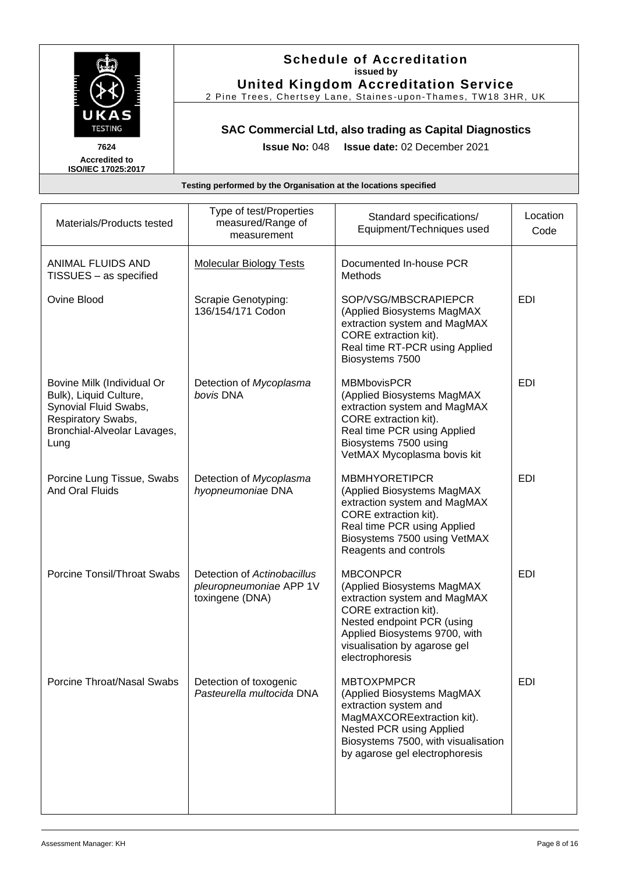

#### **Schedule of Accreditation issued by United Kingdom Accreditation Service**

2 Pine Trees, Chertsey Lane, Staines -upon -Thames, TW18 3HR, UK

# **SAC Commercial Ltd, also trading as Capital Diagnostics**

**Issue No:** 048 **Issue date:** 02 December 2021

| Materials/Products tested                                                                                                                  | Type of test/Properties<br>measured/Range of<br>measurement               | Standard specifications/<br>Equipment/Techniques used                                                                                                                                                                    | Location<br>Code |
|--------------------------------------------------------------------------------------------------------------------------------------------|---------------------------------------------------------------------------|--------------------------------------------------------------------------------------------------------------------------------------------------------------------------------------------------------------------------|------------------|
| ANIMAL FLUIDS AND<br>TISSUES - as specified                                                                                                | <b>Molecular Biology Tests</b>                                            | Documented In-house PCR<br>Methods                                                                                                                                                                                       |                  |
| Ovine Blood                                                                                                                                | Scrapie Genotyping:<br>136/154/171 Codon                                  | SOP/VSG/MBSCRAPIEPCR<br>(Applied Biosystems MagMAX<br>extraction system and MagMAX<br>CORE extraction kit).<br>Real time RT-PCR using Applied<br>Biosystems 7500                                                         | <b>EDI</b>       |
| Bovine Milk (Individual Or<br>Bulk), Liquid Culture,<br>Synovial Fluid Swabs,<br>Respiratory Swabs,<br>Bronchial-Alveolar Lavages,<br>Lung | Detection of Mycoplasma<br>bovis DNA                                      | <b>MBMbovisPCR</b><br>(Applied Biosystems MagMAX<br>extraction system and MagMAX<br>CORE extraction kit).<br>Real time PCR using Applied<br>Biosystems 7500 using<br>VetMAX Mycoplasma bovis kit                         | <b>EDI</b>       |
| Porcine Lung Tissue, Swabs<br><b>And Oral Fluids</b>                                                                                       | Detection of Mycoplasma<br>hyopneumoniae DNA                              | <b>MBMHYORETIPCR</b><br>(Applied Biosystems MagMAX<br>extraction system and MagMAX<br>CORE extraction kit).<br>Real time PCR using Applied<br>Biosystems 7500 using VetMAX<br>Reagents and controls                      | <b>EDI</b>       |
| <b>Porcine Tonsil/Throat Swabs</b>                                                                                                         | Detection of Actinobacillus<br>pleuropneumoniae APP 1V<br>toxingene (DNA) | <b>MBCONPCR</b><br>(Applied Biosystems MagMAX<br>extraction system and MagMAX<br>CORE extraction kit).<br>Nested endpoint PCR (using<br>Applied Biosystems 9700, with<br>visualisation by agarose gel<br>electrophoresis | <b>EDI</b>       |
| Porcine Throat/Nasal Swabs                                                                                                                 | Detection of toxogenic<br>Pasteurella multocida DNA                       | <b>MBTOXPMPCR</b><br>(Applied Biosystems MagMAX<br>extraction system and<br>MagMAXCOREextraction kit).<br>Nested PCR using Applied<br>Biosystems 7500, with visualisation<br>by agarose gel electrophoresis              | EDI              |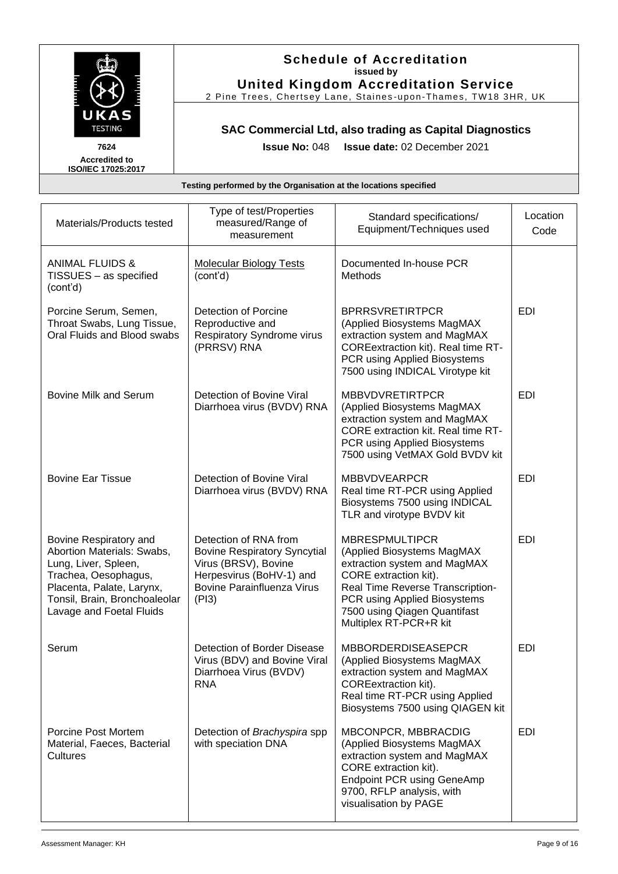

#### **Schedule of Accreditation issued by United Kingdom Accreditation Service**

2 Pine Trees, Chertsey Lane, Staines -upon -Thames, TW18 3HR, UK

# **SAC Commercial Ltd, also trading as Capital Diagnostics**

**Issue No:** 048 **Issue date:** 02 December 2021

| Materials/Products tested                                                                                                                                                                      | Type of test/Properties<br>measured/Range of<br>measurement                                                                                             | Standard specifications/<br>Equipment/Techniques used                                                                                                                                                                                      | Location<br>Code |
|------------------------------------------------------------------------------------------------------------------------------------------------------------------------------------------------|---------------------------------------------------------------------------------------------------------------------------------------------------------|--------------------------------------------------------------------------------------------------------------------------------------------------------------------------------------------------------------------------------------------|------------------|
| <b>ANIMAL FLUIDS &amp;</b><br>TISSUES - as specified<br>(cont'd)                                                                                                                               | <b>Molecular Biology Tests</b><br>(cont'd)                                                                                                              | Documented In-house PCR<br>Methods                                                                                                                                                                                                         |                  |
| Porcine Serum, Semen,<br>Throat Swabs, Lung Tissue,<br>Oral Fluids and Blood swabs                                                                                                             | Detection of Porcine<br>Reproductive and<br><b>Respiratory Syndrome virus</b><br>(PRRSV) RNA                                                            | <b>BPRRSVRETIRTPCR</b><br>(Applied Biosystems MagMAX<br>extraction system and MagMAX<br>COREextraction kit). Real time RT-<br>PCR using Applied Biosystems<br>7500 using INDICAL Virotype kit                                              | <b>EDI</b>       |
| Bovine Milk and Serum                                                                                                                                                                          | Detection of Bovine Viral<br>Diarrhoea virus (BVDV) RNA                                                                                                 | <b>MBBVDVRETIRTPCR</b><br>(Applied Biosystems MagMAX<br>extraction system and MagMAX<br>CORE extraction kit. Real time RT-<br>PCR using Applied Biosystems<br>7500 using VetMAX Gold BVDV kit                                              | <b>EDI</b>       |
| <b>Bovine Ear Tissue</b>                                                                                                                                                                       | Detection of Bovine Viral<br>Diarrhoea virus (BVDV) RNA                                                                                                 | <b>MBBVDVEARPCR</b><br>Real time RT-PCR using Applied<br>Biosystems 7500 using INDICAL<br>TLR and virotype BVDV kit                                                                                                                        | <b>EDI</b>       |
| Bovine Respiratory and<br>Abortion Materials: Swabs,<br>Lung, Liver, Spleen,<br>Trachea, Oesophagus,<br>Placenta, Palate, Larynx,<br>Tonsil, Brain, Bronchoaleolar<br>Lavage and Foetal Fluids | Detection of RNA from<br><b>Bovine Respiratory Syncytial</b><br>Virus (BRSV), Bovine<br>Herpesvirus (BoHV-1) and<br>Bovine Parainfluenza Virus<br>(PI3) | <b>MBRESPMULTIPCR</b><br>(Applied Biosystems MagMAX<br>extraction system and MagMAX<br>CORE extraction kit).<br>Real Time Reverse Transcription-<br>PCR using Applied Biosystems<br>7500 using Qiagen Quantifast<br>Multiplex RT-PCR+R kit | <b>EDI</b>       |
| Serum                                                                                                                                                                                          | Detection of Border Disease<br>Virus (BDV) and Bovine Viral<br>Diarrhoea Virus (BVDV)<br><b>RNA</b>                                                     | MBBORDERDISEASEPCR<br>(Applied Biosystems MagMAX<br>extraction system and MagMAX<br><b>COREextraction kit).</b><br>Real time RT-PCR using Applied<br>Biosystems 7500 using QIAGEN kit                                                      | <b>EDI</b>       |
| Porcine Post Mortem<br>Material, Faeces, Bacterial<br><b>Cultures</b>                                                                                                                          | Detection of Brachyspira spp<br>with speciation DNA                                                                                                     | MBCONPCR, MBBRACDIG<br>(Applied Biosystems MagMAX<br>extraction system and MagMAX<br>CORE extraction kit).<br><b>Endpoint PCR using GeneAmp</b><br>9700, RFLP analysis, with<br>visualisation by PAGE                                      | <b>EDI</b>       |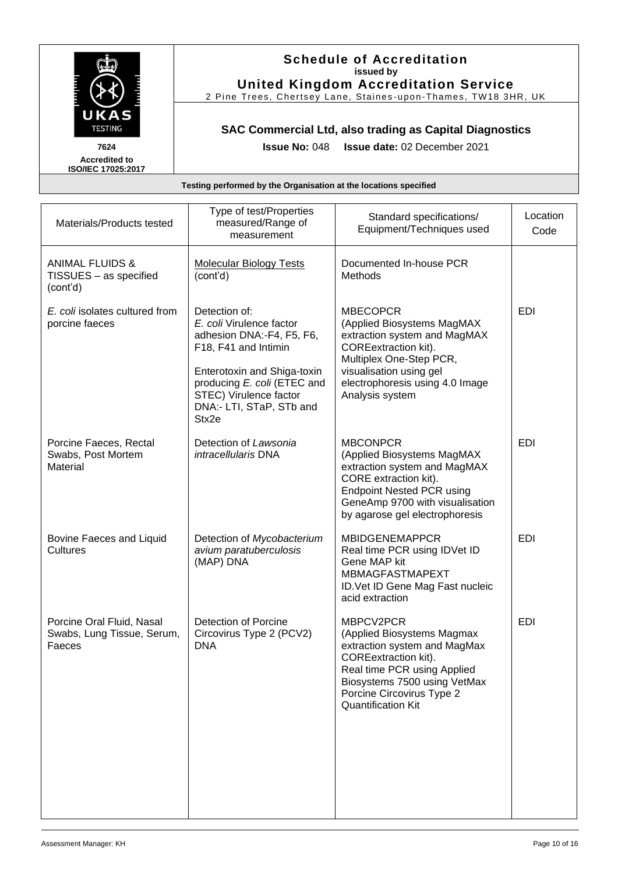

#### **Schedule of Accreditation issued by United Kingdom Accreditation Service**

2 Pine Trees, Chertsey Lane, Staines -upon -Thames, TW18 3HR, UK

# **SAC Commercial Ltd, also trading as Capital Diagnostics**

**Issue No:** 048 **Issue date:** 02 December 2021

**Accredited to ISO/IEC 17025:2017**

|  | Testing performed by the Organisation at the locations specified |
|--|------------------------------------------------------------------|
|--|------------------------------------------------------------------|

| Materials/Products tested                                         | Type of test/Properties<br>measured/Range of<br>measurement                                                                                                                                                                 | Standard specifications/<br>Equipment/Techniques used                                                                                                                                                                           | Location<br>Code |
|-------------------------------------------------------------------|-----------------------------------------------------------------------------------------------------------------------------------------------------------------------------------------------------------------------------|---------------------------------------------------------------------------------------------------------------------------------------------------------------------------------------------------------------------------------|------------------|
| <b>ANIMAL FLUIDS &amp;</b><br>TISSUES - as specified<br>(cont'd)  | <b>Molecular Biology Tests</b><br>(cont'd)                                                                                                                                                                                  | Documented In-house PCR<br>Methods                                                                                                                                                                                              |                  |
| E. coli isolates cultured from<br>porcine faeces                  | Detection of:<br>E. coli Virulence factor<br>adhesion DNA:-F4, F5, F6,<br>F18, F41 and Intimin<br>Enterotoxin and Shiga-toxin<br>producing E. coli (ETEC and<br>STEC) Virulence factor<br>DNA:- LTI, STaP, STb and<br>Stx2e | <b>MBECOPCR</b><br>(Applied Biosystems MagMAX<br>extraction system and MagMAX<br><b>COREextraction kit).</b><br>Multiplex One-Step PCR,<br>visualisation using gel<br>electrophoresis using 4.0 Image<br>Analysis system        | <b>EDI</b>       |
| Porcine Faeces, Rectal<br>Swabs, Post Mortem<br>Material          | Detection of Lawsonia<br><i>intracellularis</i> DNA                                                                                                                                                                         | <b>MBCONPCR</b><br>(Applied Biosystems MagMAX<br>extraction system and MagMAX<br>CORE extraction kit).<br><b>Endpoint Nested PCR using</b><br>GeneAmp 9700 with visualisation<br>by agarose gel electrophoresis                 | <b>EDI</b>       |
| Bovine Faeces and Liquid<br>Cultures                              | Detection of Mycobacterium<br>avium paratuberculosis<br>(MAP) DNA                                                                                                                                                           | <b>MBIDGENEMAPPCR</b><br>Real time PCR using IDVet ID<br>Gene MAP kit<br><b>MBMAGFASTMAPEXT</b><br>ID. Vet ID Gene Mag Fast nucleic<br>acid extraction                                                                          | <b>EDI</b>       |
| Porcine Oral Fluid, Nasal<br>Swabs, Lung Tissue, Serum,<br>Faeces | <b>Detection of Porcine</b><br>Circovirus Type 2 (PCV2)<br><b>DNA</b>                                                                                                                                                       | MBPCV2PCR<br>(Applied Biosystems Magmax<br>extraction system and MagMax<br><b>COREextraction kit).</b><br>Real time PCR using Applied<br>Biosystems 7500 using VetMax<br>Porcine Circovirus Type 2<br><b>Quantification Kit</b> | <b>EDI</b>       |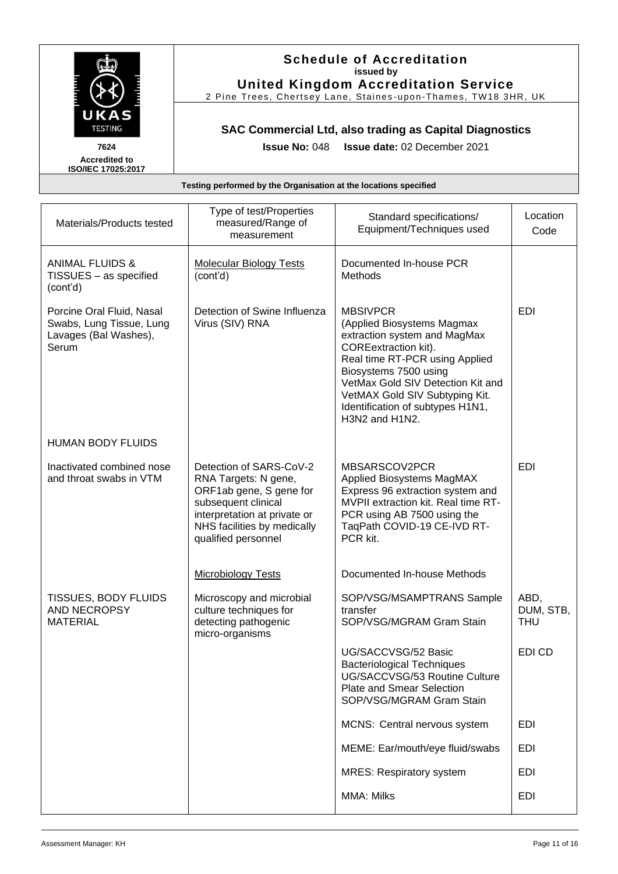

#### **Schedule of Accreditation issued by United Kingdom Accreditation Service**

2 Pine Trees, Chertsey Lane, Staines -upon -Thames, TW18 3HR, UK

# **SAC Commercial Ltd, also trading as Capital Diagnostics**

**Issue No:** 048 **Issue date:** 02 December 2021

| Materials/Products tested                                                               | Type of test/Properties<br>measured/Range of<br>measurement                                                                                                                             | Standard specifications/<br>Equipment/Techniques used                                                                                                                                                                                                                                                | Location<br>Code                |
|-----------------------------------------------------------------------------------------|-----------------------------------------------------------------------------------------------------------------------------------------------------------------------------------------|------------------------------------------------------------------------------------------------------------------------------------------------------------------------------------------------------------------------------------------------------------------------------------------------------|---------------------------------|
| <b>ANIMAL FLUIDS &amp;</b><br>TISSUES - as specified<br>(cont'd)                        | <b>Molecular Biology Tests</b><br>(cont'd)                                                                                                                                              | Documented In-house PCR<br>Methods                                                                                                                                                                                                                                                                   |                                 |
| Porcine Oral Fluid, Nasal<br>Swabs, Lung Tissue, Lung<br>Lavages (Bal Washes),<br>Serum | Detection of Swine Influenza<br>Virus (SIV) RNA                                                                                                                                         | <b>MBSIVPCR</b><br>(Applied Biosystems Magmax<br>extraction system and MagMax<br><b>COREextraction kit).</b><br>Real time RT-PCR using Applied<br>Biosystems 7500 using<br>VetMax Gold SIV Detection Kit and<br>VetMAX Gold SIV Subtyping Kit.<br>Identification of subtypes H1N1,<br>H3N2 and H1N2. | <b>EDI</b>                      |
| <b>HUMAN BODY FLUIDS</b>                                                                |                                                                                                                                                                                         |                                                                                                                                                                                                                                                                                                      |                                 |
| Inactivated combined nose<br>and throat swabs in VTM                                    | Detection of SARS-CoV-2<br>RNA Targets: N gene,<br>ORF1ab gene, S gene for<br>subsequent clinical<br>interpretation at private or<br>NHS facilities by medically<br>qualified personnel | MBSARSCOV2PCR<br>Applied Biosystems MagMAX<br>Express 96 extraction system and<br>MVPII extraction kit. Real time RT-<br>PCR using AB 7500 using the<br>TaqPath COVID-19 CE-IVD RT-<br>PCR kit.                                                                                                      | <b>EDI</b>                      |
|                                                                                         | <b>Microbiology Tests</b>                                                                                                                                                               | Documented In-house Methods                                                                                                                                                                                                                                                                          |                                 |
| TISSUES, BODY FLUIDS<br>AND NECROPSY<br><b>MATERIAL</b>                                 | Microscopy and microbial<br>culture techniques for<br>detecting pathogenic<br>micro-organisms                                                                                           | SOP/VSG/MSAMPTRANS Sample<br>transfer<br>SOP/VSG/MGRAM Gram Stain                                                                                                                                                                                                                                    | ABD,<br>DUM, STB,<br><b>THU</b> |
|                                                                                         |                                                                                                                                                                                         | UG/SACCVSG/52 Basic<br><b>Bacteriological Techniques</b><br>UG/SACCVSG/53 Routine Culture<br>Plate and Smear Selection<br>SOP/VSG/MGRAM Gram Stain                                                                                                                                                   | EDI CD                          |
|                                                                                         |                                                                                                                                                                                         | MCNS: Central nervous system                                                                                                                                                                                                                                                                         | <b>EDI</b>                      |
|                                                                                         |                                                                                                                                                                                         | MEME: Ear/mouth/eye fluid/swabs                                                                                                                                                                                                                                                                      | <b>EDI</b>                      |
|                                                                                         |                                                                                                                                                                                         | <b>MRES: Respiratory system</b>                                                                                                                                                                                                                                                                      | <b>EDI</b>                      |
|                                                                                         |                                                                                                                                                                                         | <b>MMA: Milks</b>                                                                                                                                                                                                                                                                                    | <b>EDI</b>                      |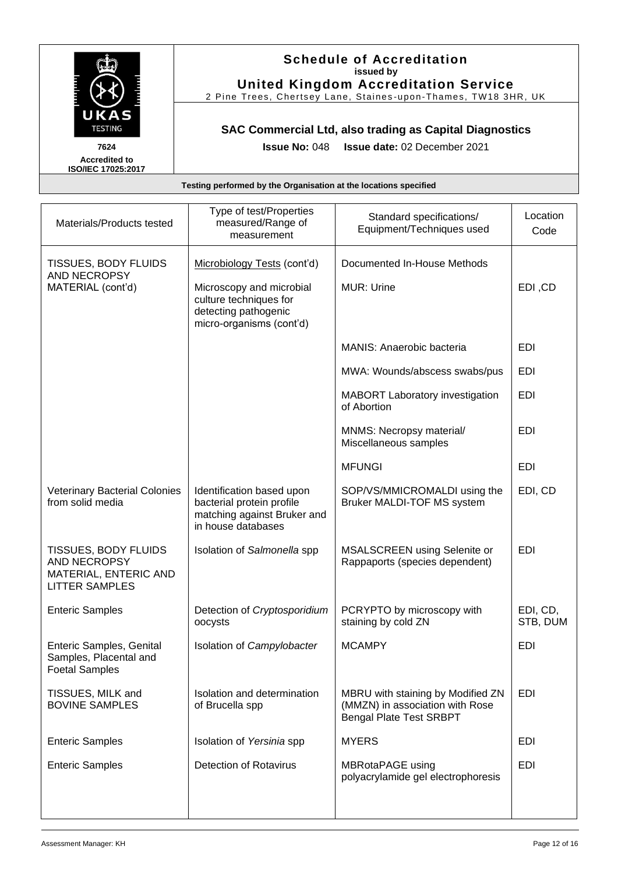

#### **Schedule of Accreditation issued by United Kingdom Accreditation Service**

2 Pine Trees, Chertsey Lane, Staines -upon -Thames, TW18 3HR, UK

# **SAC Commercial Ltd, also trading as Capital Diagnostics**

**Issue No:** 048 **Issue date:** 02 December 2021

| Materials/Products tested                                                              | Type of test/Properties<br>measured/Range of<br>measurement                                                 | Standard specifications/<br>Equipment/Techniques used                                                  | Location<br>Code     |
|----------------------------------------------------------------------------------------|-------------------------------------------------------------------------------------------------------------|--------------------------------------------------------------------------------------------------------|----------------------|
| TISSUES, BODY FLUIDS<br>AND NECROPSY                                                   | Microbiology Tests (cont'd)                                                                                 | Documented In-House Methods                                                                            |                      |
| MATERIAL (cont'd)                                                                      | Microscopy and microbial<br>culture techniques for<br>detecting pathogenic<br>micro-organisms (cont'd)      | <b>MUR: Urine</b>                                                                                      | EDI, CD              |
|                                                                                        |                                                                                                             | <b>MANIS: Anaerobic bacteria</b>                                                                       | <b>EDI</b>           |
|                                                                                        |                                                                                                             | MWA: Wounds/abscess swabs/pus                                                                          | <b>EDI</b>           |
|                                                                                        |                                                                                                             | <b>MABORT Laboratory investigation</b><br>of Abortion                                                  | <b>EDI</b>           |
|                                                                                        |                                                                                                             | MNMS: Necropsy material/<br>Miscellaneous samples                                                      | <b>EDI</b>           |
|                                                                                        |                                                                                                             | <b>MFUNGI</b>                                                                                          | <b>EDI</b>           |
| <b>Veterinary Bacterial Colonies</b><br>from solid media                               | Identification based upon<br>bacterial protein profile<br>matching against Bruker and<br>in house databases | SOP/VS/MMICROMALDI using the<br>Bruker MALDI-TOF MS system                                             | EDI, CD              |
| TISSUES, BODY FLUIDS<br>AND NECROPSY<br>MATERIAL, ENTERIC AND<br><b>LITTER SAMPLES</b> | Isolation of Salmonella spp                                                                                 | MSALSCREEN using Selenite or<br>Rappaports (species dependent)                                         | <b>EDI</b>           |
| <b>Enteric Samples</b>                                                                 | Detection of Cryptosporidium<br>oocysts                                                                     | PCRYPTO by microscopy with<br>staining by cold ZN                                                      | EDI, CD,<br>STB, DUM |
| <b>Enteric Samples, Genital</b><br>Samples, Placental and<br><b>Foetal Samples</b>     | Isolation of Campylobacter                                                                                  | <b>MCAMPY</b>                                                                                          | <b>EDI</b>           |
| TISSUES, MILK and<br><b>BOVINE SAMPLES</b>                                             | Isolation and determination<br>of Brucella spp                                                              | MBRU with staining by Modified ZN<br>(MMZN) in association with Rose<br><b>Bengal Plate Test SRBPT</b> | <b>EDI</b>           |
| <b>Enteric Samples</b>                                                                 | Isolation of Yersinia spp                                                                                   | <b>MYERS</b>                                                                                           | <b>EDI</b>           |
| <b>Enteric Samples</b>                                                                 | <b>Detection of Rotavirus</b>                                                                               | MBRotaPAGE using<br>polyacrylamide gel electrophoresis                                                 | <b>EDI</b>           |
|                                                                                        |                                                                                                             |                                                                                                        |                      |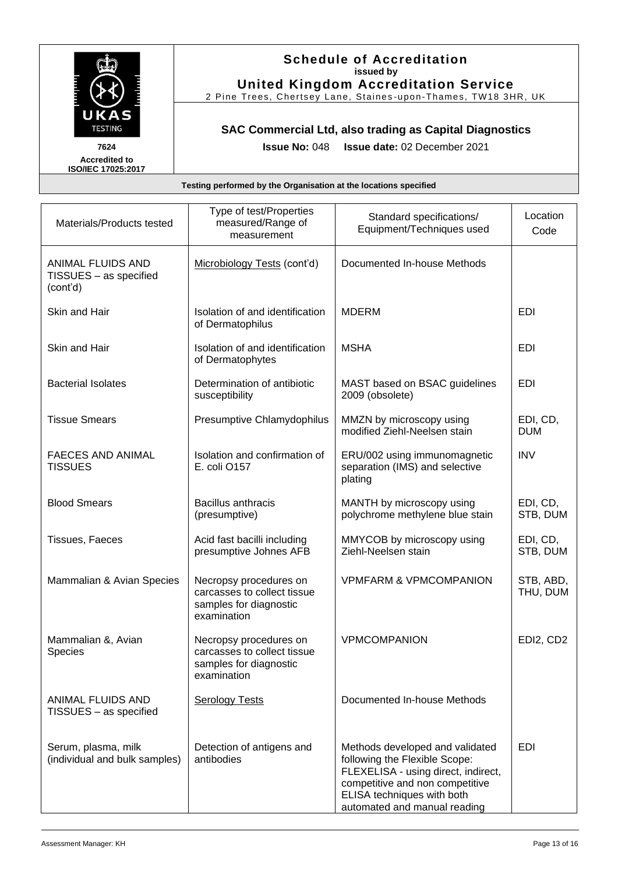

#### **Schedule of Accreditation issued by United Kingdom Accreditation Service**

2 Pine Trees, Chertsey Lane, Staines -upon -Thames, TW18 3HR, UK

# **SAC Commercial Ltd, also trading as Capital Diagnostics**

**Issue No:** 048 **Issue date:** 02 December 2021

| Materials/Products tested                               | Type of test/Properties<br>measured/Range of<br>measurement                                    | Standard specifications/<br>Equipment/Techniques used                                                                                                                                                    | Location<br>Code       |
|---------------------------------------------------------|------------------------------------------------------------------------------------------------|----------------------------------------------------------------------------------------------------------------------------------------------------------------------------------------------------------|------------------------|
| ANIMAL FLUIDS AND<br>TISSUES - as specified<br>(cont'd) | Microbiology Tests (cont'd)                                                                    | Documented In-house Methods                                                                                                                                                                              |                        |
| Skin and Hair                                           | Isolation of and identification<br>of Dermatophilus                                            | <b>MDERM</b>                                                                                                                                                                                             | <b>EDI</b>             |
| Skin and Hair                                           | Isolation of and identification<br>of Dermatophytes                                            | <b>MSHA</b>                                                                                                                                                                                              | <b>EDI</b>             |
| <b>Bacterial Isolates</b>                               | Determination of antibiotic<br>susceptibility                                                  | MAST based on BSAC guidelines<br>2009 (obsolete)                                                                                                                                                         | <b>EDI</b>             |
| <b>Tissue Smears</b>                                    | Presumptive Chlamydophilus                                                                     | MMZN by microscopy using<br>modified Ziehl-Neelsen stain                                                                                                                                                 | EDI, CD,<br><b>DUM</b> |
| <b>FAECES AND ANIMAL</b><br><b>TISSUES</b>              | Isolation and confirmation of<br>E. coli O157                                                  | ERU/002 using immunomagnetic<br>separation (IMS) and selective<br>plating                                                                                                                                | <b>INV</b>             |
| <b>Blood Smears</b>                                     | <b>Bacillus anthracis</b><br>(presumptive)                                                     | MANTH by microscopy using<br>polychrome methylene blue stain                                                                                                                                             | EDI, CD,<br>STB, DUM   |
| Tissues, Faeces                                         | Acid fast bacilli including<br>presumptive Johnes AFB                                          | MMYCOB by microscopy using<br>Ziehl-Neelsen stain                                                                                                                                                        | EDI, CD,<br>STB, DUM   |
| Mammalian & Avian Species                               | Necropsy procedures on<br>carcasses to collect tissue<br>samples for diagnostic<br>examination | <b>VPMFARM &amp; VPMCOMPANION</b>                                                                                                                                                                        | STB, ABD,<br>THU, DUM  |
| Mammalian &, Avian<br><b>Species</b>                    | Necropsy procedures on<br>carcasses to collect tissue<br>samples for diagnostic<br>examination | VPMCOMPANION                                                                                                                                                                                             | EDI2, CD2              |
| ANIMAL FLUIDS AND<br>TISSUES - as specified             | <b>Serology Tests</b>                                                                          | Documented In-house Methods                                                                                                                                                                              |                        |
| Serum, plasma, milk<br>(individual and bulk samples)    | Detection of antigens and<br>antibodies                                                        | Methods developed and validated<br>following the Flexible Scope:<br>FLEXELISA - using direct, indirect,<br>competitive and non competitive<br>ELISA techniques with both<br>automated and manual reading | <b>EDI</b>             |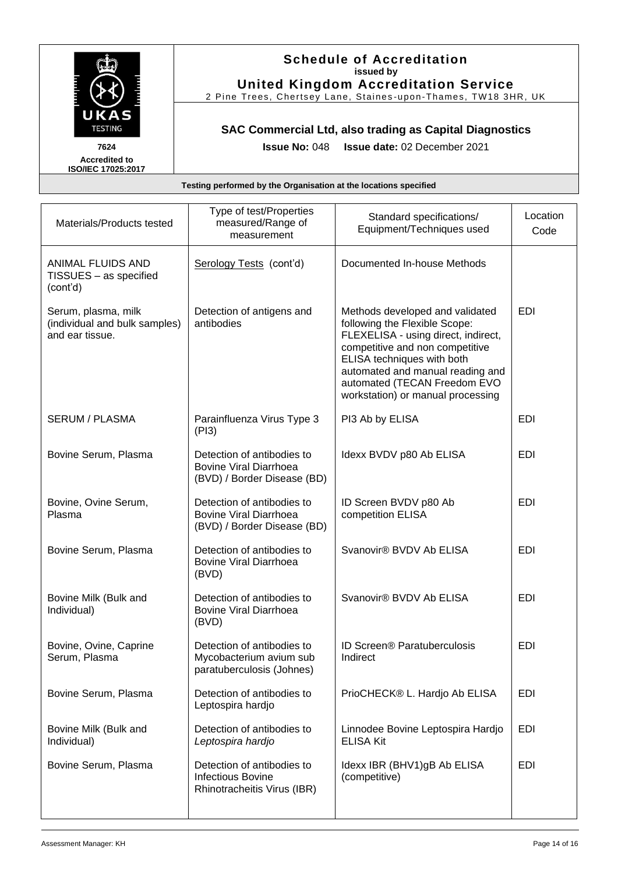

#### **Schedule of Accreditation issued by United Kingdom Accreditation Service**

2 Pine Trees, Chertsey Lane, Staines -upon -Thames, TW18 3HR, UK

# **SAC Commercial Ltd, also trading as Capital Diagnostics**

**Issue No:** 048 **Issue date:** 02 December 2021

| Materials/Products tested                                               | Type of test/Properties<br>measured/Range of<br>measurement                                | Standard specifications/<br>Equipment/Techniques used                                                                                                                                                                                                                             | Location<br>Code |
|-------------------------------------------------------------------------|--------------------------------------------------------------------------------------------|-----------------------------------------------------------------------------------------------------------------------------------------------------------------------------------------------------------------------------------------------------------------------------------|------------------|
| <b>ANIMAL FLUIDS AND</b><br>TISSUES - as specified<br>(cont'd)          | Serology Tests (cont'd)                                                                    | Documented In-house Methods                                                                                                                                                                                                                                                       |                  |
| Serum, plasma, milk<br>(individual and bulk samples)<br>and ear tissue. | Detection of antigens and<br>antibodies                                                    | Methods developed and validated<br>following the Flexible Scope:<br>FLEXELISA - using direct, indirect,<br>competitive and non competitive<br>ELISA techniques with both<br>automated and manual reading and<br>automated (TECAN Freedom EVO<br>workstation) or manual processing | <b>EDI</b>       |
| <b>SERUM / PLASMA</b>                                                   | Parainfluenza Virus Type 3<br>(PI3)                                                        | PI3 Ab by ELISA                                                                                                                                                                                                                                                                   | <b>EDI</b>       |
| Bovine Serum, Plasma                                                    | Detection of antibodies to<br><b>Bovine Viral Diarrhoea</b><br>(BVD) / Border Disease (BD) | Idexx BVDV p80 Ab ELISA                                                                                                                                                                                                                                                           | <b>EDI</b>       |
| Bovine, Ovine Serum,<br>Plasma                                          | Detection of antibodies to<br><b>Bovine Viral Diarrhoea</b><br>(BVD) / Border Disease (BD) | ID Screen BVDV p80 Ab<br>competition ELISA                                                                                                                                                                                                                                        | <b>EDI</b>       |
| Bovine Serum, Plasma                                                    | Detection of antibodies to<br><b>Bovine Viral Diarrhoea</b><br>(BVD)                       | Svanovir® BVDV Ab ELISA                                                                                                                                                                                                                                                           | <b>EDI</b>       |
| Bovine Milk (Bulk and<br>Individual)                                    | Detection of antibodies to<br><b>Bovine Viral Diarrhoea</b><br>(BVD)                       | Svanovir® BVDV Ab ELISA                                                                                                                                                                                                                                                           | <b>EDI</b>       |
| Bovine, Ovine, Caprine<br>Serum, Plasma                                 | Detection of antibodies to<br>Mycobacterium avium sub<br>paratuberculosis (Johnes)         | ID Screen® Paratuberculosis<br>Indirect                                                                                                                                                                                                                                           | <b>EDI</b>       |
| Bovine Serum, Plasma                                                    | Detection of antibodies to<br>Leptospira hardjo                                            | PrioCHECK® L. Hardjo Ab ELISA                                                                                                                                                                                                                                                     | <b>EDI</b>       |
| Bovine Milk (Bulk and<br>Individual)                                    | Detection of antibodies to<br>Leptospira hardjo                                            | Linnodee Bovine Leptospira Hardjo<br><b>ELISA Kit</b>                                                                                                                                                                                                                             | <b>EDI</b>       |
| Bovine Serum, Plasma                                                    | Detection of antibodies to<br><b>Infectious Bovine</b><br>Rhinotracheitis Virus (IBR)      | Idexx IBR (BHV1)gB Ab ELISA<br>(competitive)                                                                                                                                                                                                                                      | EDI              |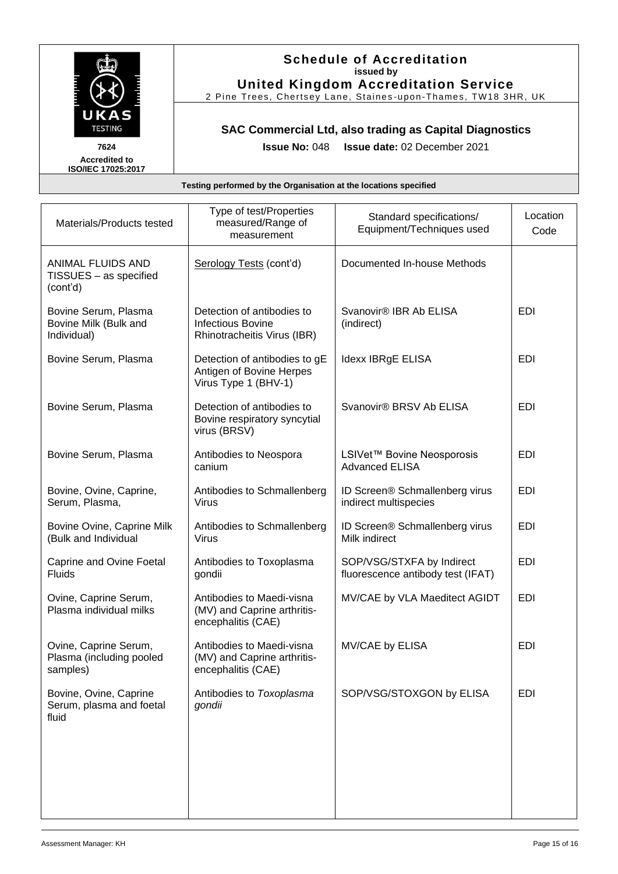

#### **Schedule of Accreditation issued by United Kingdom Accreditation Service**

2 Pine Trees, Chertsey Lane, Staines -upon -Thames, TW18 3HR, UK

# **SAC Commercial Ltd, also trading as Capital Diagnostics**

**Issue No:** 048 **Issue date:** 02 December 2021

| Materials/Products tested                                     | Type of test/Properties<br>measured/Range of<br>measurement                       | Standard specifications/<br>Equipment/Techniques used          | Location<br>Code |
|---------------------------------------------------------------|-----------------------------------------------------------------------------------|----------------------------------------------------------------|------------------|
| ANIMAL FLUIDS AND<br>TISSUES - as specified<br>(cont'd)       | Serology Tests (cont'd)                                                           | Documented In-house Methods                                    |                  |
| Bovine Serum, Plasma<br>Bovine Milk (Bulk and<br>Individual)  | Detection of antibodies to<br>Infectious Bovine<br>Rhinotracheitis Virus (IBR)    | Svanovir <sup>®</sup> IBR Ab ELISA<br>(indirect)               | <b>EDI</b>       |
| Bovine Serum, Plasma                                          | Detection of antibodies to gE<br>Antigen of Bovine Herpes<br>Virus Type 1 (BHV-1) | Idexx IBRgE ELISA                                              | <b>EDI</b>       |
| Bovine Serum, Plasma                                          | Detection of antibodies to<br>Bovine respiratory syncytial<br>virus (BRSV)        | Svanovir® BRSV Ab ELISA                                        | <b>EDI</b>       |
| Bovine Serum, Plasma                                          | Antibodies to Neospora<br>canium                                                  | LSIVet™ Bovine Neosporosis<br><b>Advanced ELISA</b>            | <b>EDI</b>       |
| Bovine, Ovine, Caprine,<br>Serum, Plasma,                     | Antibodies to Schmallenberg<br><b>Virus</b>                                       | ID Screen® Schmallenberg virus<br>indirect multispecies        | <b>EDI</b>       |
| Bovine Ovine, Caprine Milk<br>(Bulk and Individual            | Antibodies to Schmallenberg<br><b>Virus</b>                                       | ID Screen® Schmallenberg virus<br>Milk indirect                | <b>EDI</b>       |
| Caprine and Ovine Foetal<br><b>Fluids</b>                     | Antibodies to Toxoplasma<br>gondii                                                | SOP/VSG/STXFA by Indirect<br>fluorescence antibody test (IFAT) | <b>EDI</b>       |
| Ovine, Caprine Serum,<br>Plasma individual milks              | Antibodies to Maedi-visna<br>(MV) and Caprine arthritis-<br>encephalitis (CAE)    | MV/CAE by VLA Maeditect AGIDT                                  | <b>EDI</b>       |
| Ovine, Caprine Serum,<br>Plasma (including pooled<br>samples) | Antibodies to Maedi-visna<br>(MV) and Caprine arthritis-<br>encephalitis (CAE)    | MV/CAE by ELISA                                                | <b>EDI</b>       |
| Bovine, Ovine, Caprine<br>Serum, plasma and foetal<br>fluid   | Antibodies to Toxoplasma<br>gondii                                                | SOP/VSG/STOXGON by ELISA                                       | <b>EDI</b>       |
|                                                               |                                                                                   |                                                                |                  |
|                                                               |                                                                                   |                                                                |                  |
|                                                               |                                                                                   |                                                                |                  |